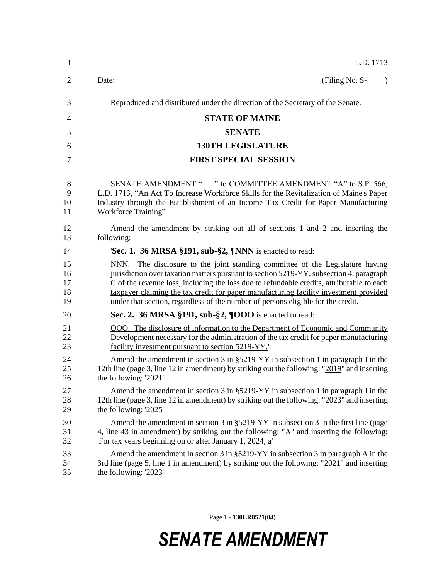| $\mathbf{1}$               | L.D. 1713                                                                                                                                                                                                                                                                                                                                                                                                                                          |
|----------------------------|----------------------------------------------------------------------------------------------------------------------------------------------------------------------------------------------------------------------------------------------------------------------------------------------------------------------------------------------------------------------------------------------------------------------------------------------------|
| 2                          | Date:<br>(Filing No. S-<br>$\lambda$                                                                                                                                                                                                                                                                                                                                                                                                               |
| 3                          | Reproduced and distributed under the direction of the Secretary of the Senate.                                                                                                                                                                                                                                                                                                                                                                     |
| $\overline{4}$             | <b>STATE OF MAINE</b>                                                                                                                                                                                                                                                                                                                                                                                                                              |
| 5                          | <b>SENATE</b>                                                                                                                                                                                                                                                                                                                                                                                                                                      |
| 6                          | <b>130TH LEGISLATURE</b>                                                                                                                                                                                                                                                                                                                                                                                                                           |
| 7                          | <b>FIRST SPECIAL SESSION</b>                                                                                                                                                                                                                                                                                                                                                                                                                       |
| 8<br>9<br>10<br>11         | SENATE AMENDMENT " " to COMMITTEE AMENDMENT "A" to S.P. 566,<br>L.D. 1713, "An Act To Increase Workforce Skills for the Revitalization of Maine's Paper<br>Industry through the Establishment of an Income Tax Credit for Paper Manufacturing<br>Workforce Training"                                                                                                                                                                               |
| 12<br>13                   | Amend the amendment by striking out all of sections 1 and 2 and inserting the<br>following:                                                                                                                                                                                                                                                                                                                                                        |
| 14                         | Sec. 1. 36 MRSA §191, sub-§2, ¶NNN is enacted to read:                                                                                                                                                                                                                                                                                                                                                                                             |
| 15<br>16<br>17<br>18<br>19 | NNN. The disclosure to the joint standing committee of the Legislature having<br>jurisdiction over taxation matters pursuant to section 5219-YY, subsection 4, paragraph<br>C of the revenue loss, including the loss due to refundable credits, attributable to each<br>taxpayer claiming the tax credit for paper manufacturing facility investment provided<br>under that section, regardless of the number of persons eligible for the credit. |
| 20                         | Sec. 2. 36 MRSA §191, sub-§2, $\P OOO$ is enacted to read:                                                                                                                                                                                                                                                                                                                                                                                         |
| 21<br>22<br>23             | OOO. The disclosure of information to the Department of Economic and Community<br>Development necessary for the administration of the tax credit for paper manufacturing<br>facility investment pursuant to section 5219-YY.                                                                                                                                                                                                                       |
| 24<br>25<br>26             | Amend the amendment in section 3 in §5219-YY in subsection 1 in paragraph I in the<br>12th line (page 3, line 12 in amendment) by striking out the following: " $2019$ " and inserting<br>the following: $2021'$                                                                                                                                                                                                                                   |
| 27<br>28<br>29             | Amend the amendment in section 3 in $\S 5219-YY$ in subsection 1 in paragraph I in the<br>12th line (page 3, line 12 in amendment) by striking out the following: "2023" and inserting<br>the following: $2025'$                                                                                                                                                                                                                                   |
| 30<br>31<br>32             | Amend the amendment in section 3 in $\S 5219-YY$ in subsection 3 in the first line (page<br>4, line 43 in amendment) by striking out the following: " $\underline{A}$ " and inserting the following:<br>'For tax years beginning on or after January 1, 2024, a'                                                                                                                                                                                   |
| 33<br>34<br>35             | Amend the amendment in section 3 in $\S 5219-YY$ in subsection 3 in paragraph A in the<br>3rd line (page 5, line 1 in amendment) by striking out the following: " $2021$ " and inserting<br>the following: $2023'$                                                                                                                                                                                                                                 |

Page 1 - **130LR0521(04)**

## *SENATE AMENDMENT*